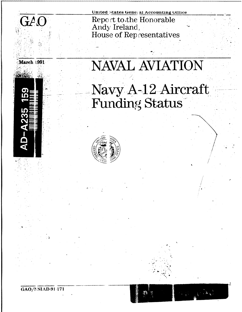

March 1991

United States General Accounting Office Report to the Honorable Andy Ireland, House of Representatives

## **NAVAL AVIATION** Navy A-12 Aircraft<br>Funding Status



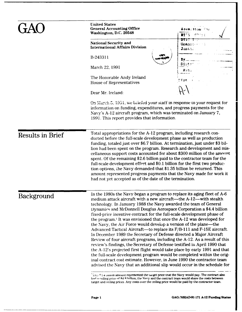|                         | <b>United States</b><br><b>General Accounting Office</b><br>Washington, D.C. 20548                                                                                                                                                                                                                                                                                                                                                                                                                                                                                                                                                                                                                                                                                                                                                                                                                                                                                                                                                                                                                                                              | Add@∴31o∆ for<br>UT I S<br>nn rik s |  |  |
|-------------------------|-------------------------------------------------------------------------------------------------------------------------------------------------------------------------------------------------------------------------------------------------------------------------------------------------------------------------------------------------------------------------------------------------------------------------------------------------------------------------------------------------------------------------------------------------------------------------------------------------------------------------------------------------------------------------------------------------------------------------------------------------------------------------------------------------------------------------------------------------------------------------------------------------------------------------------------------------------------------------------------------------------------------------------------------------------------------------------------------------------------------------------------------------|-------------------------------------|--|--|
|                         | <b>National Security and</b><br><b>International Affairs Division</b>                                                                                                                                                                                                                                                                                                                                                                                                                                                                                                                                                                                                                                                                                                                                                                                                                                                                                                                                                                                                                                                                           | DTIC THE<br>Unannos estado<br>Just! |  |  |
|                         | B-243311                                                                                                                                                                                                                                                                                                                                                                                                                                                                                                                                                                                                                                                                                                                                                                                                                                                                                                                                                                                                                                                                                                                                        |                                     |  |  |
|                         | March 22, 1991                                                                                                                                                                                                                                                                                                                                                                                                                                                                                                                                                                                                                                                                                                                                                                                                                                                                                                                                                                                                                                                                                                                                  | DISC<br>古いさく                        |  |  |
|                         | The Honorable Andy Ireland<br>House of Representatives                                                                                                                                                                                                                                                                                                                                                                                                                                                                                                                                                                                                                                                                                                                                                                                                                                                                                                                                                                                                                                                                                          | ⊇Eg≢                                |  |  |
|                         | Dear Mr. Ireland:                                                                                                                                                                                                                                                                                                                                                                                                                                                                                                                                                                                                                                                                                                                                                                                                                                                                                                                                                                                                                                                                                                                               |                                     |  |  |
|                         | On March 5, 1991, we briefed your staff in response to your request for<br>information on funding, expenditures, and progress payments for the<br>Navy's A-12 aircraft program, which was terminated on January 7,<br>1991. This report provides that information.                                                                                                                                                                                                                                                                                                                                                                                                                                                                                                                                                                                                                                                                                                                                                                                                                                                                              |                                     |  |  |
| <b>Results in Brief</b> | Total appropriations for the A-12 program, including research con-<br>ducted before the full-scale development phase as well as production<br>funding, totaled just over \$6.7 billion. At termination, just under \$3 bil-<br>lion had been spent on the program. Research and development and mis-<br>cellaneous support costs accounted for about \$300 million of the amount<br>spent. Of the remaining \$2.6 billion paid to the contractor team for the<br>full-scale development effort and \$0.1 billion for the first two produc-<br>tion options, the Navy demanded that \$1.35 billion be returned. This<br>amount represented progress payments that the Navy made for work it<br>had not yet accepted as of the date of the termination.                                                                                                                                                                                                                                                                                                                                                                                           |                                     |  |  |
| <b>Background</b>       | In the 1980s the Navy began a program to replace its aging fleet of A-6<br>medium attack aircraft with a new aircraft—the A-12—with stealth<br>technology. In January 1988 the Navy awarded the team of General<br>Dynamics and McDonnell Douglas Aerospace Corporation a \$4.4 billion<br>fixed-price incentive contract for the full-scale development phase of<br>the program. <sup>1</sup> It was envisioned that once the A-12 was developed for<br>the Navy, the Air Force would develop a version of the plane—the<br>Advanced Tactical Aircraft—to replace its F/B-111 and F-15E aircraft.<br>In December 1989 the Secretary of Defense directed a Major Aircraft<br>Review of four aircraft programs, including the A-12. As a result of this<br>review's findings, the Secretary of Defense testified in April 1990 that<br>the A-12's projected first flight would take place by early 1991 and that<br>the full-scale development program would be completed within the orig-<br>inal contract cost estimate. However, in June 1990 the contractor team<br>advised the Navy that an additional slip would occur in the schedule for |                                     |  |  |
|                         | This * 1.4 binon amount represented the target price that the Navy would pay. The contract also<br>had a ceiling price of \$4.8 billion; the Navy and the contract team would share the costs between                                                                                                                                                                                                                                                                                                                                                                                                                                                                                                                                                                                                                                                                                                                                                                                                                                                                                                                                           |                                     |  |  |

target and ceiling prices. Any costs over the ceiling price would be paid by the contractor team.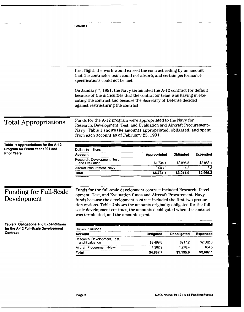|                                                                                                                                                 | B-243311                                                                                                                                                                                                                                                    |                      |                    |                    |
|-------------------------------------------------------------------------------------------------------------------------------------------------|-------------------------------------------------------------------------------------------------------------------------------------------------------------------------------------------------------------------------------------------------------------|----------------------|--------------------|--------------------|
|                                                                                                                                                 |                                                                                                                                                                                                                                                             |                      |                    |                    |
|                                                                                                                                                 |                                                                                                                                                                                                                                                             |                      |                    |                    |
|                                                                                                                                                 |                                                                                                                                                                                                                                                             |                      |                    |                    |
|                                                                                                                                                 |                                                                                                                                                                                                                                                             |                      |                    |                    |
|                                                                                                                                                 |                                                                                                                                                                                                                                                             |                      |                    |                    |
|                                                                                                                                                 | first flight, the work would exceed the contract ceiling by an amount<br>that the contractor team could not absorb, and certain performance<br>specifications could not be met.                                                                             |                      |                    |                    |
|                                                                                                                                                 | On January 7, 1991, the Navy terminated the A-12 contract for default<br>because of the difficulties that the contractor team was having in exe-<br>cuting the contract and because the Secretary of Defense decided<br>against restructuring the contract. |                      |                    |                    |
| <b>Total Appropriations</b>                                                                                                                     | Funds for the A-12 program were appropriated to the Navy for<br>Research, Development, Test, and Evaluation and Aircraft Procurement-<br>Navy. Table 1 shows the amounts appropriated, obligated, and spent<br>from each account as of February 25, 1991.   |                      |                    |                    |
| Table 1: Appropriations for the A-12                                                                                                            |                                                                                                                                                                                                                                                             |                      |                    |                    |
| Program for Fiscal Year 1991 and                                                                                                                | Dollars in millions                                                                                                                                                                                                                                         |                      |                    |                    |
| <b>Prior Years</b>                                                                                                                              | Account                                                                                                                                                                                                                                                     | <b>Appropriated</b>  | Obligated          | <b>Expended</b>    |
|                                                                                                                                                 | Research, Development, Test,<br>and Evaluation                                                                                                                                                                                                              | \$4,734.1            | \$2,896.8          | \$2,853.1          |
|                                                                                                                                                 | Aircraft Procurement-Navy                                                                                                                                                                                                                                   | 2.003.0              | 1142               | 113.2              |
|                                                                                                                                                 | Total                                                                                                                                                                                                                                                       |                      | \$3,011.0          |                    |
|                                                                                                                                                 |                                                                                                                                                                                                                                                             | \$6,737.1            |                    | \$2,966.3          |
|                                                                                                                                                 | Funds for the full-scale development contract included Research, Devel-                                                                                                                                                                                     |                      |                    |                    |
|                                                                                                                                                 | opment, Test, and Evaluation funds and Aircraft Procurement-Navy                                                                                                                                                                                            |                      |                    |                    |
|                                                                                                                                                 | funds because the development contract included the first two produc-                                                                                                                                                                                       |                      |                    |                    |
|                                                                                                                                                 | tion options. Table 2 shows the amounts originally obligated for the full-                                                                                                                                                                                  |                      |                    |                    |
|                                                                                                                                                 | scale development contract, the amounts deobligated when the contract                                                                                                                                                                                       |                      |                    |                    |
|                                                                                                                                                 | was terminated, and the amounts spent.                                                                                                                                                                                                                      |                      |                    |                    |
|                                                                                                                                                 |                                                                                                                                                                                                                                                             |                      | $-$                |                    |
|                                                                                                                                                 | Dollars in millions                                                                                                                                                                                                                                         |                      |                    |                    |
|                                                                                                                                                 | <b>Account</b>                                                                                                                                                                                                                                              | <b>Obligated</b>     | <b>Deobligated</b> | <b>Expended</b>    |
|                                                                                                                                                 | Research, Development, Test,                                                                                                                                                                                                                                |                      |                    |                    |
| <b>Funding for Full-Scale</b><br>Development<br><b>Table 2: Obligations and Expenditures</b><br>for the A-12 Full-Scale Development<br>Contract | and Evaluation<br>Aircraft Procurement-Navy                                                                                                                                                                                                                 | \$3,499.8<br>1,382.9 | \$917.2<br>1,278.4 | \$2,582.6<br>104.5 |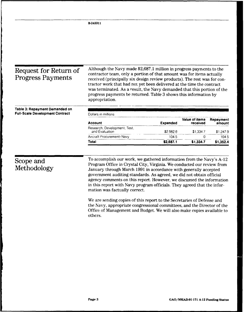| Request for Return of<br><b>Progress Payments</b>                        | Although the Navy made \$2,687.1 million in progress payments to the<br>contractor team, only a portion of that amount was for items actually<br>received (principally six design review products). The rest was for con-<br>tractor work that had not yet been delivered at the time the contract<br>was terminated. As a result, the Navy demanded that this portion of the<br>progress payments be returned. Table 3 shows this information by |                 |                            |                        |
|--------------------------------------------------------------------------|---------------------------------------------------------------------------------------------------------------------------------------------------------------------------------------------------------------------------------------------------------------------------------------------------------------------------------------------------------------------------------------------------------------------------------------------------|-----------------|----------------------------|------------------------|
|                                                                          | appropriation.                                                                                                                                                                                                                                                                                                                                                                                                                                    |                 |                            |                        |
|                                                                          | Dollars in millions                                                                                                                                                                                                                                                                                                                                                                                                                               |                 |                            |                        |
|                                                                          | <b>Account</b>                                                                                                                                                                                                                                                                                                                                                                                                                                    | <b>Expended</b> | Value of items<br>received | amount                 |
|                                                                          | Research, Development, Test,<br>and Evaluation                                                                                                                                                                                                                                                                                                                                                                                                    | \$2582.6        | \$1,334.7                  | Repayment<br>\$1,247.9 |
| Table 3: Repayment Demanded on<br><b>Full-Scale Development Contract</b> | Aircraft Procurement-Navy                                                                                                                                                                                                                                                                                                                                                                                                                         | 104.5           | $\mathbf 0$                | 104.5                  |

**B-243311**

To accomplish our work, we gathered information from the Navy's A-12<br>Program Office in Crystal City, Virginia. We conducted our review from **Methodology Methodology** *January through March 1991 in accordance with generally accepted* government auditing standards. As agreed, we did not obtain official agency comments on this report. However, we discussed the information in this report with Navy program officials. They agreed that the information was factually correct.

> We are sending copies of this report to the Secretaries of Defense and the Navy, appropriate congressional committees, and the Director of the Office of Management and Budget. We will also make copies available to others.